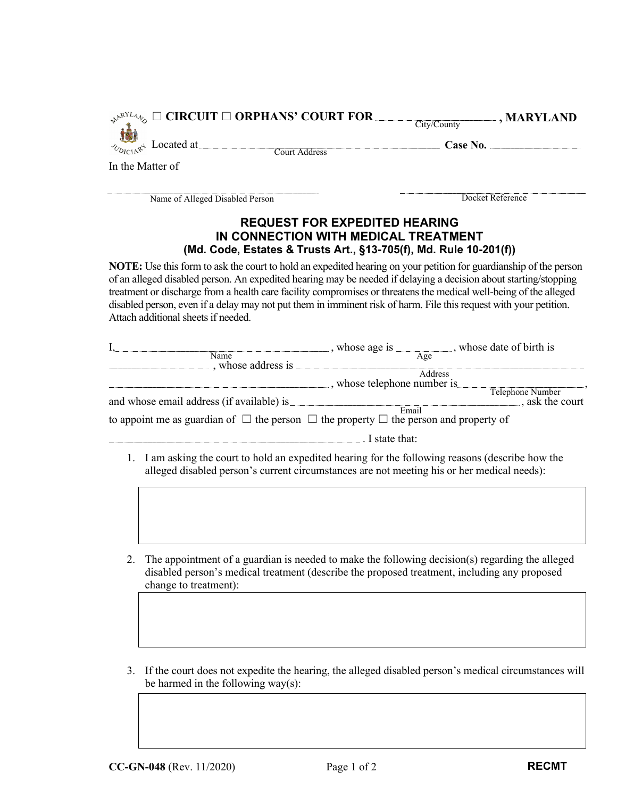|                                 | Cny/Couny     |          |  |
|---------------------------------|---------------|----------|--|
| $\frac{1}{2}$ Located at $\sim$ | Court Address | Case No. |  |
| In the Matter of                |               |          |  |
|                                 |               |          |  |

Name of Alleged Disabled Person Docket Reference

☐ **CIRCUIT** ☐ **ORPHANS' COURT FOR**

**, MARYLAND** 

## **REQUEST FOR EXPEDITED HEARING IN CONNECTION WITH MEDICAL TREATMENT (Md. Code, Estates & Trusts Art., §13-705(f), Md. Rule 10-201(f))**

**NOTE:** Use this form to ask the court to hold an expedited hearing on your petition for guardianship of the person of an alleged disabled person. An expedited hearing may be needed if delaying a decision about starting/stopping treatment or discharge from a health care facility compromises or threatens the medical well-being of the alleged disabled person, even if a delay may not put them in imminent risk of harm. File this request with your petition. Attach additional sheets if needed.

|                                           | , whose date of birth is<br>whose age is                                                             |
|-------------------------------------------|------------------------------------------------------------------------------------------------------|
| Name                                      | Age                                                                                                  |
| , whose address is                        | Address                                                                                              |
|                                           |                                                                                                      |
|                                           | whose telephone number is                                                                            |
|                                           | Telephone Number                                                                                     |
| and whose email address (if available) is | ., ask the court                                                                                     |
|                                           | Email                                                                                                |
|                                           | to appoint me as guardian of $\Box$ the person $\Box$ the property $\Box$ the person and property of |
|                                           | I state that:                                                                                        |

- 1. I am asking the court to hold an expedited hearing for the following reasons (describe how the alleged disabled person's current circumstances are not meeting his or her medical needs):
- 2. The appointment of a guardian is needed to make the following decision(s) regarding the alleged disabled person's medical treatment (describe the proposed treatment, including any proposed change to treatment):
- 3. If the court does not expedite the hearing, the alleged disabled person's medical circumstances will be harmed in the following way $(s)$ :